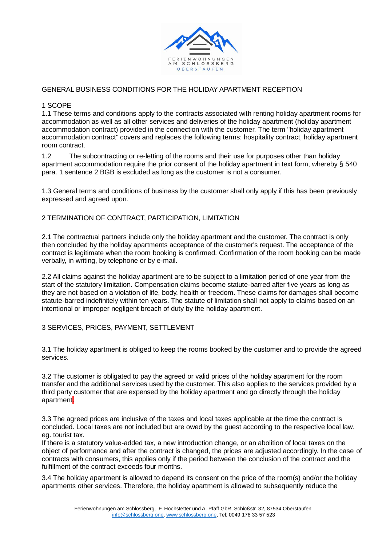

# GENERAL BUSINESS CONDITIONS FOR THE HOLIDAY APARTMENT RECEPTION

### 1 SCOPE

1.1 These terms and conditions apply to the contracts associated with renting holiday apartment rooms for accommodation as well as all other services and deliveries of the holiday apartment (holiday apartment accommodation contract) provided in the connection with the customer. The term "holiday apartment accommodation contract" covers and replaces the following terms: hospitality contract, holiday apartment room contract.

1.2 The subcontracting or re-letting of the rooms and their use for purposes other than holiday apartment accommodation require the prior consent of the holiday apartment in text form, whereby § 540 para. 1 sentence 2 BGB is excluded as long as the customer is not a consumer.

1.3 General terms and conditions of business by the customer shall only apply if this has been previously expressed and agreed upon.

## 2 TERMINATION OF CONTRACT, PARTICIPATION, LIMITATION

2.1 The contractual partners include only the holiday apartment and the customer. The contract is only then concluded by the holiday apartments acceptance of the customer's request. The acceptance of the contract is legitimate when the room booking is confirmed. Confirmation of the room booking can be made verbally, in writing, by telephone or by e-mail.

2.2 All claims against the holiday apartment are to be subject to a limitation period of one year from the start of the statutory limitation. Compensation claims become statute-barred after five years as long as they are not based on a violation of life, body, health or freedom. These claims for damages shall become statute-barred indefinitely within ten years. The statute of limitation shall not apply to claims based on an intentional or improper negligent breach of duty by the holiday apartment.

### 3 SERVICES, PRICES, PAYMENT, SETTLEMENT

3.1 The holiday apartment is obliged to keep the rooms booked by the customer and to provide the agreed services.

3.2 The customer is obligated to pay the agreed or valid prices of the holiday apartment for the room transfer and the additional services used by the customer. This also applies to the services provided by a third party customer that are expensed by the holiday apartment and go directly through the holiday apartment.

3.3 The agreed prices are inclusive of the taxes and local taxes applicable at the time the contract is concluded. Local taxes are not included but are owed by the guest according to the respective local law. eg. tourist tax.

If there is a statutory value-added tax, a new introduction change, or an abolition of local taxes on the object of performance and after the contract is changed, the prices are adjusted accordingly. In the case of contracts with consumers, this applies only if the period between the conclusion of the contract and the fulfillment of the contract exceeds four months.

3.4 The holiday apartment is allowed to depend its consent on the price of the room(s) and/or the holiday apartments other services. Therefore, the holiday apartment is allowed to subsequently reduce the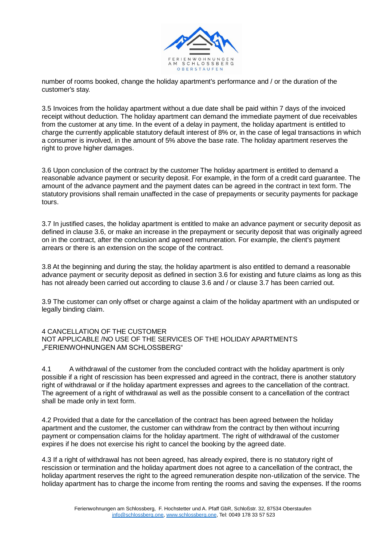

number of rooms booked, change the holiday apartment's performance and / or the duration of the customer's stay.

3.5 Invoices from the holiday apartment without a due date shall be paid within 7 days of the invoiced receipt without deduction. The holiday apartment can demand the immediate payment of due receivables from the customer at any time. In the event of a delay in payment, the holiday apartment is entitled to charge the currently applicable statutory default interest of 8% or, in the case of legal transactions in which a consumer is involved, in the amount of 5% above the base rate. The holiday apartment reserves the right to prove higher damages.

3.6 Upon conclusion of the contract by the customer The holiday apartment is entitled to demand a reasonable advance payment or security deposit. For example, in the form of a credit card guarantee. The amount of the advance payment and the payment dates can be agreed in the contract in text form. The statutory provisions shall remain unaffected in the case of prepayments or security payments for package tours.

3.7 In justified cases, the holiday apartment is entitled to make an advance payment or security deposit as defined in clause 3.6, or make an increase in the prepayment or security deposit that was originally agreed on in the contract, after the conclusion and agreed remuneration. For example, the client's payment arrears or there is an extension on the scope of the contract.

3.8 At the beginning and during the stay, the holiday apartment is also entitled to demand a reasonable advance payment or security deposit as defined in section 3.6 for existing and future claims as long as this has not already been carried out according to clause 3.6 and / or clause 3.7 has been carried out.

3.9 The customer can only offset or charge against a claim of the holiday apartment with an undisputed or legally binding claim.

4 CANCELLATION OF THE CUSTOMER NOT APPLICABLE /NO USE OF THE SERVICES OF THE HOLIDAY APARTMENTS "FERIENWOHNUNGEN AM SCHLOSSBERG"

4.1 A withdrawal of the customer from the concluded contract with the holiday apartment is only possible if a right of rescission has been expressed and agreed in the contract, there is another statutory right of withdrawal or if the holiday apartment expresses and agrees to the cancellation of the contract. The agreement of a right of withdrawal as well as the possible consent to a cancellation of the contract shall be made only in text form.

4.2 Provided that a date for the cancellation of the contract has been agreed between the holiday apartment and the customer, the customer can withdraw from the contract by then without incurring payment or compensation claims for the holiday apartment. The right of withdrawal of the customer expires if he does not exercise his right to cancel the booking by the agreed date.

4.3 If a right of withdrawal has not been agreed, has already expired, there is no statutory right of rescission or termination and the holiday apartment does not agree to a cancellation of the contract, the holiday apartment reserves the right to the agreed remuneration despite non-utilization of the service. The holiday apartment has to charge the income from renting the rooms and saving the expenses. If the rooms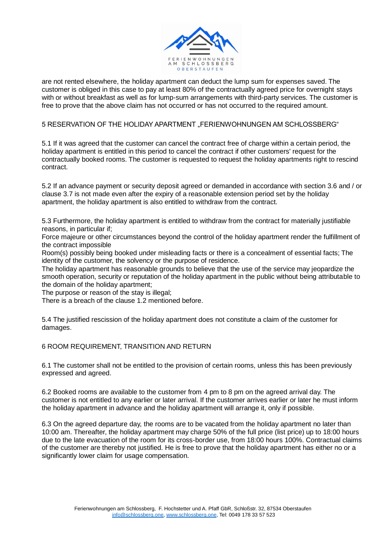

are not rented elsewhere, the holiday apartment can deduct the lump sum for expenses saved. The customer is obliged in this case to pay at least 80% of the contractually agreed price for overnight stays with or without breakfast as well as for lump-sum arrangements with third-party services. The customer is free to prove that the above claim has not occurred or has not occurred to the required amount.

# 5 RESERVATION OF THE HOLIDAY APARTMENT "FERIENWOHNUNGEN AM SCHLOSSBERG"

5.1 If it was agreed that the customer can cancel the contract free of charge within a certain period, the holiday apartment is entitled in this period to cancel the contract if other customers' request for the contractually booked rooms. The customer is requested to request the holiday apartments right to rescind contract.

5.2 If an advance payment or security deposit agreed or demanded in accordance with section 3.6 and / or clause 3.7 is not made even after the expiry of a reasonable extension period set by the holiday apartment, the holiday apartment is also entitled to withdraw from the contract.

5.3 Furthermore, the holiday apartment is entitled to withdraw from the contract for materially justifiable reasons, in particular if;

Force majeure or other circumstances beyond the control of the holiday apartment render the fulfillment of the contract impossible

Room(s) possibly being booked under misleading facts or there is a concealment of essential facts; The identity of the customer, the solvency or the purpose of residence.

The holiday apartment has reasonable grounds to believe that the use of the service may jeopardize the smooth operation, security or reputation of the holiday apartment in the public without being attributable to the domain of the holiday apartment;

The purpose or reason of the stay is illegal;

There is a breach of the clause 1.2 mentioned before.

5.4 The justified rescission of the holiday apartment does not constitute a claim of the customer for damages.

### 6 ROOM REQUIREMENT, TRANSITION AND RETURN

6.1 The customer shall not be entitled to the provision of certain rooms, unless this has been previously expressed and agreed.

6.2 Booked rooms are available to the customer from 4 pm to 8 pm on the agreed arrival day. The customer is not entitled to any earlier or later arrival. If the customer arrives earlier or later he must inform the holiday apartment in advance and the holiday apartment will arrange it, only if possible.

6.3 On the agreed departure day, the rooms are to be vacated from the holiday apartment no later than 10:00 am. Thereafter, the holiday apartment may charge 50% of the full price (list price) up to 18:00 hours due to the late evacuation of the room for its cross-border use, from 18:00 hours 100%. Contractual claims of the customer are thereby not justified. He is free to prove that the holiday apartment has either no or a significantly lower claim for usage compensation.